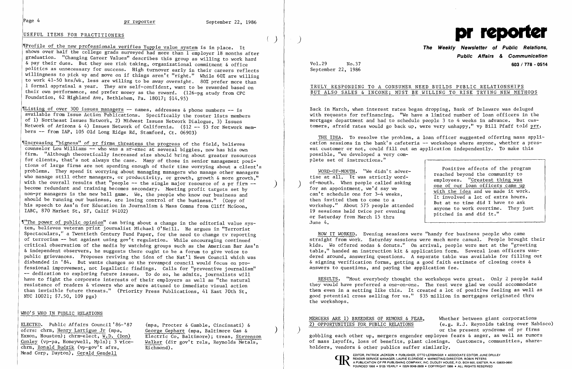# USEFUL ITEMS FOR PRACTITIONERS ()

TProfile of the new professionals verifies Yuppie value system is in place. It shows over half the college grads surveyed had more than 1 employer 18 months after graduation. "Changing Career Values" describes this group as willing to work hard & pay their dues. But they see risk taking, organizational commitment & office politics as unnecessary for success. High turnover early in their careers reflects willingness to pick up and move on if things aren't "right." While 60% are willing to work 41-50 hrs/wk, less are willing to be away overnight. 80% prefer more than ſ 1 formal appraisal a year. They are self-confident, want to be rewarded based on their own performance, and prefer money as the reward. (126-pg study from CPC Foundation, 62 Highland Ave, Bethlehem, Pa. 18017; \$14.95)

~rListing of over 300 issues managers -- names, addresses & phone numbers -- is available from Issue Action Publications. Specifically the roster lists members of 1) Northeast Issues Network, 2) Midwest Issues Network Dialogue, 3) Issues Network of Arizona & 4) Issues Network of California. (\$12 -- \$3 for Network members -- from lAP, 105 Old Long Ridge Rd, Stamford, Ct. 06903)

"Increasing "bigness" of pr firms threatens the progress of the field, believes counselor Lou Williams -- who was a sr-exec at several biggies, now has his own firm. "Although theoretically increased size should bring about greater resources for clients, that's not always the case. Many of those in senior management positions of large firms are not spending enough of their time worrying about a client's problems. They spend it worrying about managing managers who manage other managers who manage still other managers, or productivity, or growth, growth & more growth," with the overall results that "people  $-$ - the single major resource of a pr firm  $-$ - become redundant and training becomes secondary. Meeting profit targets set by non-pr managers is the new ball game. We, the people who know our business and should be running our business, are losing control of the business." (Copy of his speech to Ass'n for Education in Journalism & Mass Comns from Cliff McGoon, IABC, 870 Market St, SF, Calif 94102)

ELECTED. Public Affairs Council '86-'87 ofcrs: chrm, Henry Lartigue Jr (mpa, Exxon, Houston); chrm-elect, W.D. (Don) Conley (vp-pa, Honeywell, Mpls); 3 vicechrm, Ronald Budzik (vp-gov't afrs, Mead Corp, Dayton), Gerald Gendell

Back in March, when interest rates began dropping, Bank of Delaware was deluged with requests for refinancing. "We have a limited number of loan officers in the mortgage department and had to schedule people 3 to 4 weeks in advance. But customers, afraid rates would go back up, were very unhappy," vp Bill Pfaff told prr.

THE IDEA. To resolve the problem, a loan officer suggested offering mass application sessions in the bank's cafeteria -- workshops where anyone, whether a present customer or not, could fill out an application independently. To make this possible, "we developed a very complete set of instructions."

> Positive affects of the program reached beyond the community to employees. "Greatest thing was one of our loan officers came up with the idea and we made it work. It involved a lot of extra hours. But at no time did I have to ask anyone to work overtime. They just pitched in and did it." ask<br>ey just<br>————————————————————

~1"The power of public opinion" can bring about a change in the editorial value system, believes veteran print journalist Michael O'Neill. He argues in "Terrorist Spectaculars," a Twentieth Century Fund Paper, for the need to change tv reporting of terrorism -- but against using gov't regulation. While encouraging continued critical observation of the media by watchdog groups such as the American Bar Ass'n & independent observers, he suggests there ought to be a forum to give voice to public grievances. Proposes reviving the idea of the Nat'l News Council which was disbanded in '84. But wants changes so the revamped council would focus on professional improvement, not legalistic findings. Calls for "preventive journalism" -- dedication to exploring future issues. To do so, he admits, journalists will have to fight the corporate interests of their employers as well as "the natural resistance of readers & viewers who are more attuned to immediate visual action than invisible future threats." (Priority Press Publications, 41 East 70th St, NYC 10021; \$7.50, 109 pgs)

> EDITOR, PATRICK JACKSON. PUBLISHER, OTTO LERBINGER • ASSOCIATE EDITOR, JUNE DRULEY OD READER SERVICE MANAGER, LAURIE ELDRIDGE. MARKETING DIRECTOR, ROBIN PETERS A PUBLICATION OF PR PUBLISHING COMPANY, INC. DUDLEY HOUSE, P.O. BOX 600, EXETER, N.H. 03833-0600 FOUNDED 1958 · \$125 YEARLY · ISSN 0048-2609 · COPYRIGHT 1986 · ALL RIGHTS RESERVED

### WHO'S WHO IN PUBLIC RELATIONS

(mpa, Procter & Gamble, Cincinnati) & George Gephart (mpa, Baltimore Gas & ) Electric Co, Baltimore); treas, Stevenson Walker (dir gov't rels, Reynolds Metals, Richmond).



**The Weekly Newsletter of Public Relations, Public Affairs & Communication**  Vol. 29 No.37 **603/778-0514** 

September 22, 1986

## TRULY RESPONDING TO A CONSUMER NEED BUILDS PUBLIC RELATIONSHIPS BUT ALSO SALES & INCOME; MUST BE WILLING TO RISK TRYING NEW METHODS

WORD-OF-MOUTH. "We didn't advertise at all. It was strictly wordof-mouth. When people called asking<br>for an appointment, we'd say we can't schedule one for 3-4 weeks, then invited them to come to a workshop." About 575 people attended 19 sessions held twice per evening or Saturday from March 15 thru June 4.

HOW IT WORKED. Evening sessions were "handy for business people who came straight from work. Saturday sessions were much more casual. People brought their kids. We offered sodas & donuts." On arrival, people were met at the "greeting table," handed an instruction kit & application form. Several loan officers wandered around, answering questions. A separate table was available for filling out & signing verification forms, getting a good faith estimate of closing costs & answers to questions, and paying the application fee.

RESULTS. "Most everybody thought the workshops were great. Only 2 people said they would have preferred a one-on-one. The rest were glad we could accommodate them even in a setting like this. It created a lot of positive feeling as well as good potential cross selling for us." \$35 million in mortgages originated thru the workshops.

MERGERS ARE 1) BREEDERS OF RUMORS & FEAR, Whether between giant corporations 2) OPPORTUNITIES FOR PUBLIC RELATIONS (e.g. R.J. Reynolds taking over Nabisco) ) or the present syndrome of pr firms gobbling each other up, mergers engender employee fears & anger, as well as rumors of mass layoffs, loss of benefits, plant closings. Customers, communities, shareholders, vendors & other publics suffer similarly.